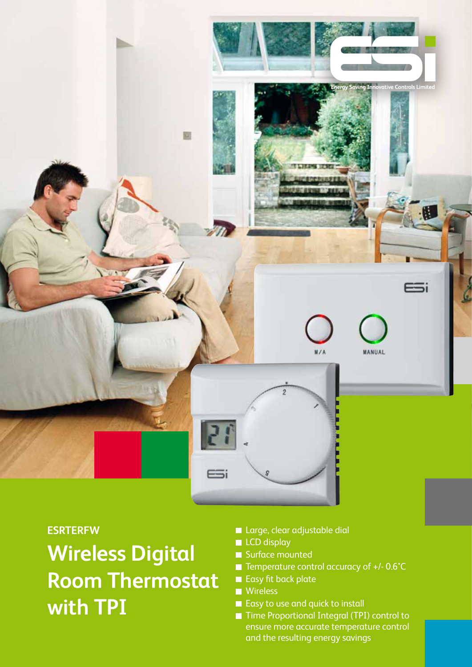

#### **ESRTERFW**

# **Wireless Digital Room Thermostat with TPI**

- **Large, clear adjustable dial**
- **LCD** display
- Surface mounted
- Temperature control accuracy of +/- 0.6°C
- Easy fit back plate
- **Wireless**
- Easy to use and quick to install
- Time Proportional Integral (TPI) control to ensure more accurate temperature control and the resulting energy savings